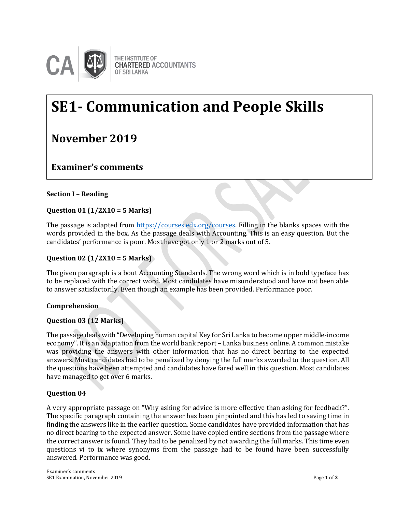

# **SE1- Communication and People Skills**

# **November 2019**

**Examiner's comments**

# **Section I – Reading**

# **Question 01 (1/2X10 = 5 Marks)**

The passage is adapted from [https://courses.edx.org/courses.](https://courses.edx.org/courses) Filling in the blanks spaces with the words provided in the box. As the passage deals with Accounting. This is an easy question. But the **Examiner's Comments**candidates' performance is poor. Most have got only 1 or 2 marks out of 5.

# **Question 02 (1/2X10 = 5 Marks)**

The given paragraph is a bout Accounting Standards. The wrong word which is in bold typeface has to be replaced with the correct word. Most candidates have misunderstood and have not been able to answer satisfactorily. Even though an example has been provided. Performance poor.

# **Comprehension**

# **Question 03 (12 Marks)**

The passage deals with "Developing human capital Key for Sri Lanka to become upper middle-income economy". It is an adaptation from the world bank report – Lanka business online. A common mistake was providing the answers with other information that has no direct bearing to the expected answers. Most candidates had to be penalized by denying the full marks awarded to the question. All the questions have been attempted and candidates have fared well in this question. Most candidates have managed to get over 6 marks.

#### **Question 04**

A very appropriate passage on "Why asking for advice is more effective than asking for feedback?". The specific paragraph containing the answer has been pinpointed and this has led to saving time in finding the answers like in the earlier question. Some candidates have provided information that has no direct bearing to the expected answer. Some have copied entire sections from the passage where the correct answer is found. They had to be penalized by not awarding the full marks. This time even questions vi to ix where synonyms from the passage had to be found have been successfully answered. Performance was good.